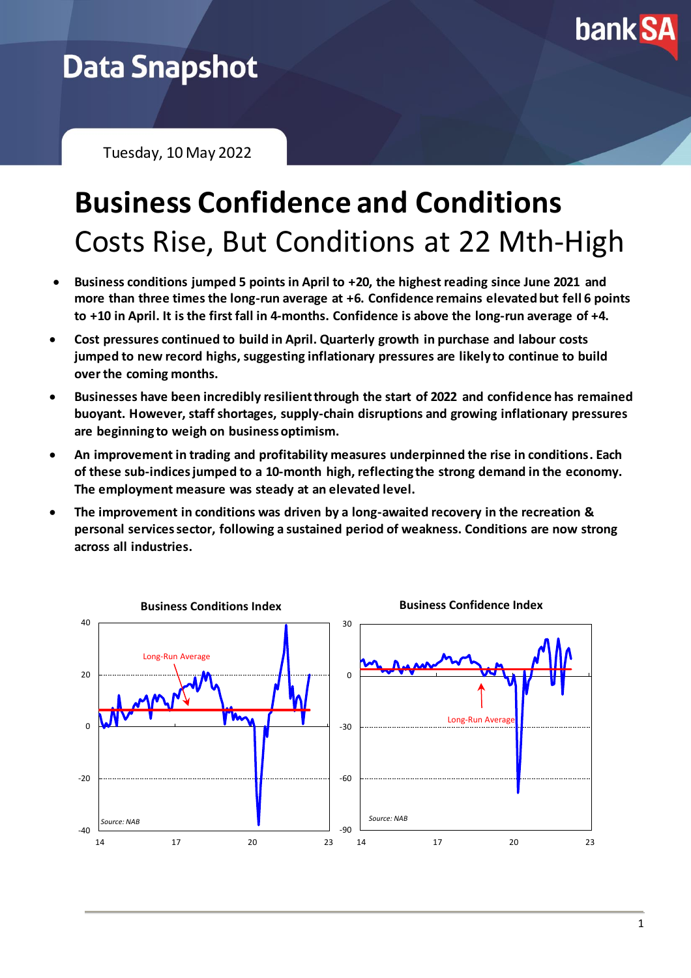

## **Data Snapshot**

Tuesday, 10 May 2022

# **Business Confidence and Conditions** Costs Rise, But Conditions at 22 Mth-High

- **Business conditions jumped 5 points in April to +20, the highest reading since June 2021 and more than three times the long-run average at +6. Confidence remains elevated but fell 6 points to +10 in April. It is the first fall in 4-months. Confidence is above the long-run average of +4.**
- **Cost pressures continued to build in April. Quarterly growth in purchase and labour costs jumped to new record highs, suggesting inflationary pressures are likely to continue to build over the coming months.**
- **Businesses have been incredibly resilient through the start of 2022 and confidence has remained buoyant. However, staff shortages, supply-chain disruptions and growing inflationary pressures are beginning to weigh on business optimism.**
- **An improvement in trading and profitability measures underpinned the rise in conditions. Each of these sub-indices jumped to a 10-month high, reflecting the strong demand in the economy. The employment measure was steady at an elevated level.**
- **The improvement in conditions was driven by a long-awaited recovery in the recreation & personal services sector, following a sustained period of weakness. Conditions are now strong across all industries.**

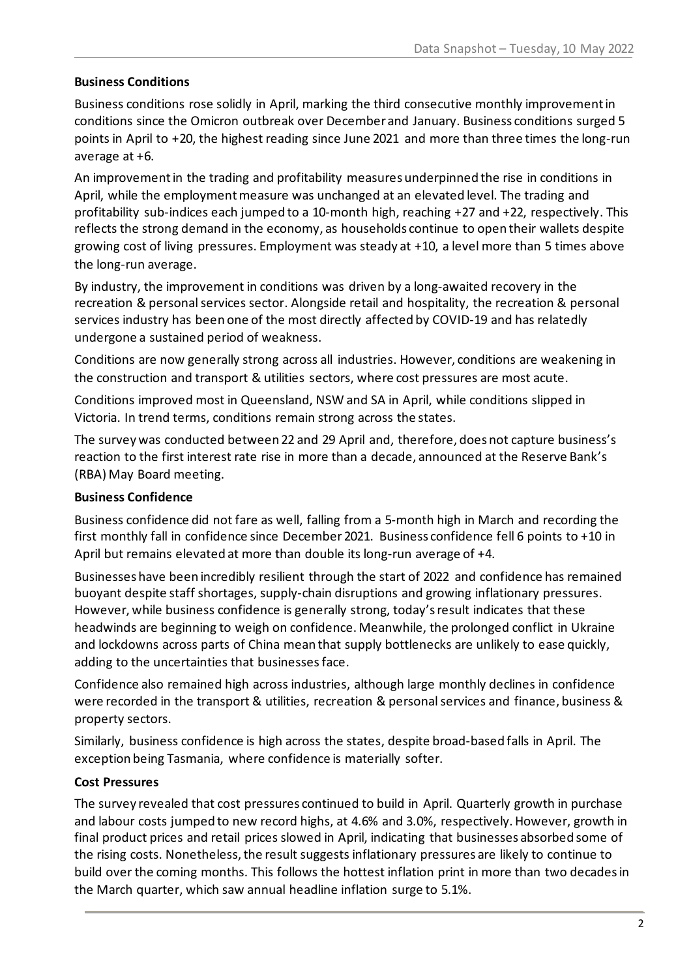#### **Business Conditions**

Business conditions rose solidly in April, marking the third consecutive monthly improvement in conditions since the Omicron outbreak over December and January. Business conditions surged 5 points in April to +20, the highest reading since June 2021 and more than three times the long-run average at +6.

An improvement in the trading and profitability measures underpinned the rise in conditions in April, while the employment measure was unchanged at an elevated level. The trading and profitability sub-indices each jumped to a 10-month high, reaching +27 and +22, respectively. This reflects the strong demand in the economy, as households continue to open their wallets despite growing cost of living pressures. Employment was steady at +10, a level more than 5 times above the long-run average.

By industry, the improvement in conditions was driven by a long-awaited recovery in the recreation & personal services sector. Alongside retail and hospitality, the recreation & personal services industry has been one of the most directly affected by COVID-19 and has relatedly undergone a sustained period of weakness.

Conditions are now generally strong across all industries. However, conditions are weakening in the construction and transport & utilities sectors, where cost pressures are most acute.

Conditions improved most in Queensland, NSW and SA in April, while conditions slipped in Victoria. In trend terms, conditions remain strong across the states.

The survey was conducted between 22 and 29 April and, therefore, does not capture business's reaction to the first interest rate rise in more than a decade, announced at the Reserve Bank's (RBA) May Board meeting.

#### **Business Confidence**

Business confidence did not fare as well, falling from a 5-month high in March and recording the first monthly fall in confidence since December 2021. Business confidence fell 6 points to +10 in April but remains elevated at more than double its long-run average of +4.

Businesses have been incredibly resilient through the start of 2022 and confidence has remained buoyant despite staff shortages, supply-chain disruptions and growing inflationary pressures. However, while business confidence is generally strong, today's result indicates that these headwinds are beginning to weigh on confidence. Meanwhile, the prolonged conflict in Ukraine and lockdowns across parts of China mean that supply bottlenecks are unlikely to ease quickly, adding to the uncertainties that businesses face.

Confidence also remained high across industries, although large monthly declines in confidence were recorded in the transport & utilities, recreation & personal services and finance, business & property sectors.

Similarly, business confidence is high across the states, despite broad-based falls in April. The exception being Tasmania, where confidence is materially softer.

#### **Cost Pressures**

The survey revealed that cost pressures continued to build in April. Quarterly growth in purchase and labour costs jumped to new record highs, at 4.6% and 3.0%, respectively. However, growth in final product prices and retail prices slowed in April, indicating that businesses absorbed some of the rising costs. Nonetheless, the result suggests inflationary pressures are likely to continue to build over the coming months. This follows the hottest inflation print in more than two decadesin the March quarter, which saw annual headline inflation surge to 5.1%.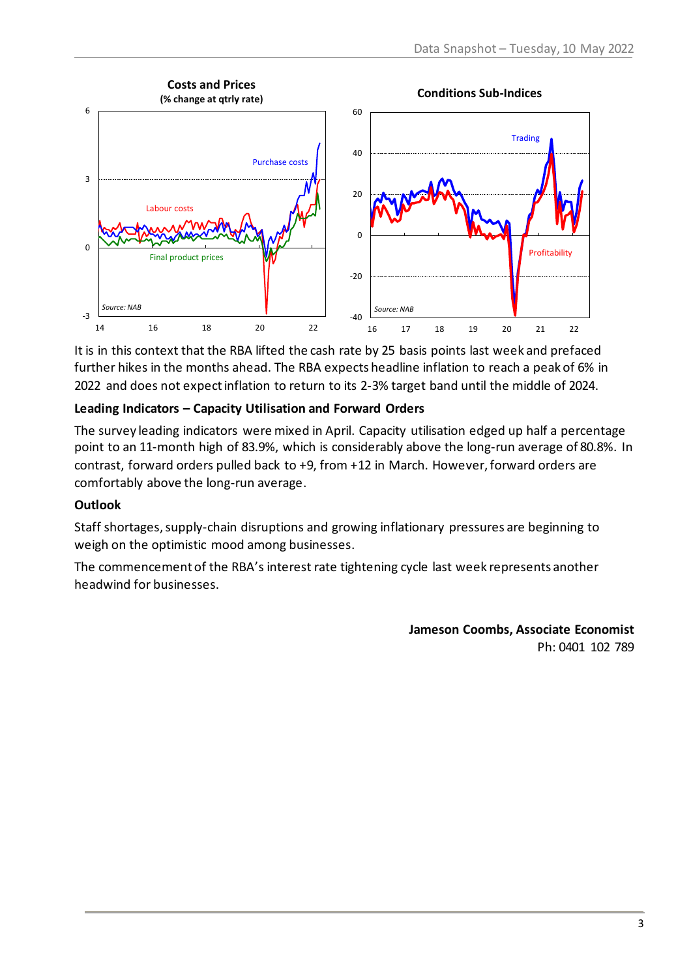

It is in this context that the RBA lifted the cash rate by 25 basis points last week and prefaced further hikes in the months ahead. The RBA expects headline inflation to reach a peak of 6% in 2022 and does not expect inflation to return to its 2-3% target band until the middle of 2024.

#### **Leading Indicators – Capacity Utilisation and Forward Orders**

The survey leading indicators were mixed in April. Capacity utilisation edged up half a percentage point to an 11-month high of 83.9%, which is considerably above the long-run average of 80.8%. In contrast, forward orders pulled back to +9, from +12 in March. However, forward orders are comfortably above the long-run average.

#### **Outlook**

Staff shortages, supply-chain disruptions and growing inflationary pressures are beginning to weigh on the optimistic mood among businesses.

The commencement of the RBA's interest rate tightening cycle last week represents another headwind for businesses.

> **Jameson Coombs, Associate Economist** Ph: 0401 102 789